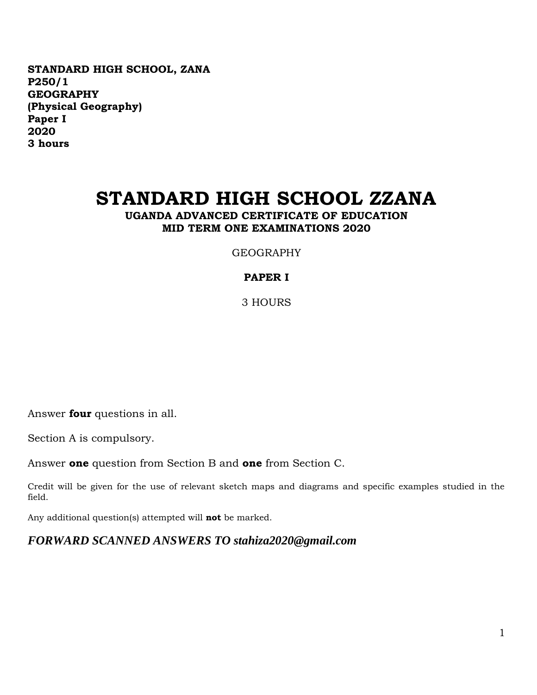**STANDARD HIGH SCHOOL, ZANA P250/1 GEOGRAPHY (Physical Geography) Paper I 2020 3 hours**

# **STANDARD HIGH SCHOOL ZZANA**

**UGANDA ADVANCED CERTIFICATE OF EDUCATION MID TERM ONE EXAMINATIONS 2020**

GEOGRAPHY

### **PAPER I**

3 HOURS

Answer **four** questions in all.

Section A is compulsory.

Answer **one** question from Section B and **one** from Section C.

Credit will be given for the use of relevant sketch maps and diagrams and specific examples studied in the field.

Any additional question(s) attempted will **not** be marked.

*FORWARD SCANNED ANSWERS TO stahiza2020@gmail.com*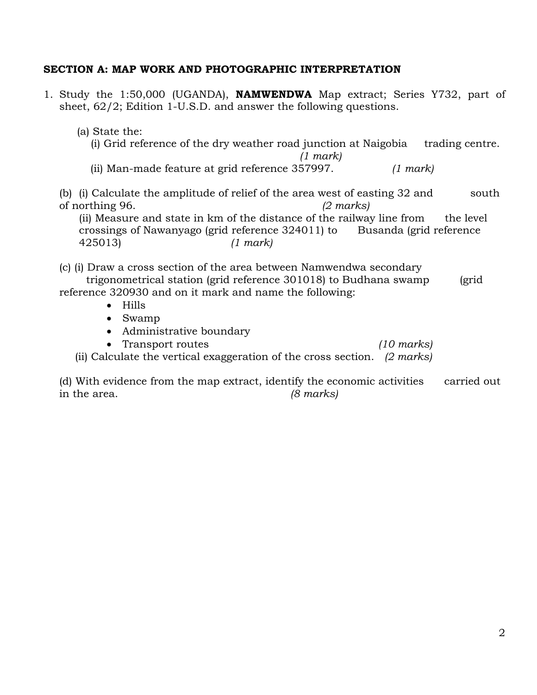#### **SECTION A: MAP WORK AND PHOTOGRAPHIC INTERPRETATION**

- 1. Study the 1:50,000 (UGANDA), **NAMWENDWA** Map extract; Series Y732, part of sheet, 62/2; Edition 1-U.S.D. and answer the following questions.
	- (a) State the: (i) Grid reference of the dry weather road junction at Naigobia trading centre. *(1 mark)* (ii) Man-made feature at grid reference 357997. *(1 mark)* (b) (i) Calculate the amplitude of relief of the area west of easting 32 and south of northing 96. *(2 marks)* (ii) Measure and state in km of the distance of the railway line from the level crossings of Nawanyago (grid reference 324011) to Busanda (grid reference 425013) *(1 mark)* (c) (i) Draw a cross section of the area between Namwendwa secondary trigonometrical station (grid reference 301018) to Budhana swamp (grid reference 320930 and on it mark and name the following: • Hills Swamp • Administrative boundary Transport routes *(10 marks)*
		- (ii) Calculate the vertical exaggeration of the cross section. *(2 marks)*
	- (d) With evidence from the map extract, identify the economic activities carried out in the area. *(8 marks)*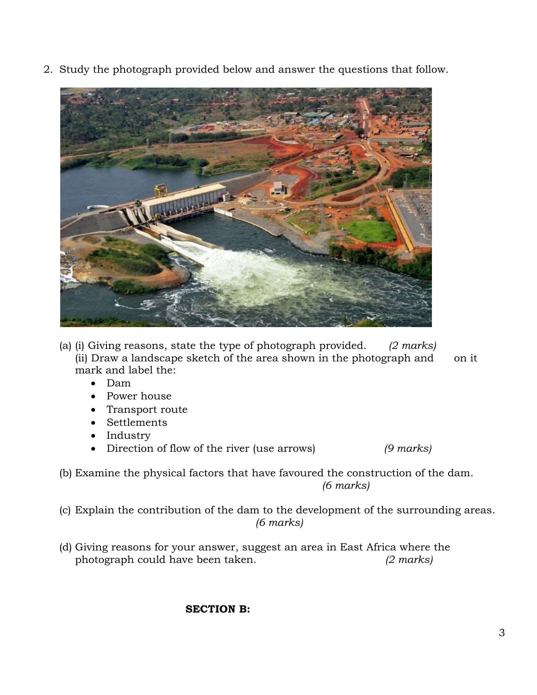2. Study the photograph provided below and answer the questions that follow.



- (a) (i) Giving reasons, state the type of photograph provided. *(2 marks)* (ii) Draw a landscape sketch of the area shown in the photograph and on it mark and label the:
	- Dam
	- Power house
	- Transport route
	- Settlements
	- Industry
	- Direction of flow of the river (use arrows) *(9 marks)*
- (b) Examine the physical factors that have favoured the construction of the dam. *(6 marks)*
- (c) Explain the contribution of the dam to the development of the surrounding areas. *(6 marks)*
- (d) Giving reasons for your answer, suggest an area in East Africa where the photograph could have been taken. *(2 marks)*

## **SECTION B:**